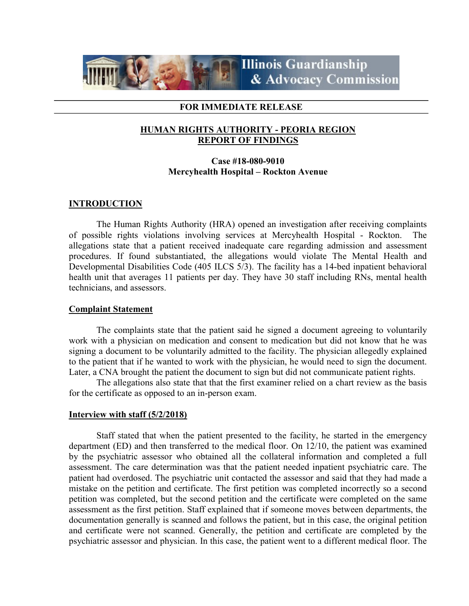

### FOR IMMEDIATE RELEASE

## HUMAN RIGHTS AUTHORITY - PEORIA REGION REPORT OF FINDINGS

# Case #18-080-9010 Mercyhealth Hospital – Rockton Avenue

## **INTRODUCTION**

 The Human Rights Authority (HRA) opened an investigation after receiving complaints of possible rights violations involving services at Mercyhealth Hospital - Rockton. The allegations state that a patient received inadequate care regarding admission and assessment procedures. If found substantiated, the allegations would violate The Mental Health and Developmental Disabilities Code (405 ILCS 5/3). The facility has a 14-bed inpatient behavioral health unit that averages 11 patients per day. They have 30 staff including RNs, mental health technicians, and assessors.

### Complaint Statement

The complaints state that the patient said he signed a document agreeing to voluntarily work with a physician on medication and consent to medication but did not know that he was signing a document to be voluntarily admitted to the facility. The physician allegedly explained to the patient that if he wanted to work with the physician, he would need to sign the document. Later, a CNA brought the patient the document to sign but did not communicate patient rights.

The allegations also state that that the first examiner relied on a chart review as the basis for the certificate as opposed to an in-person exam.

### Interview with staff (5/2/2018)

 Staff stated that when the patient presented to the facility, he started in the emergency department (ED) and then transferred to the medical floor. On 12/10, the patient was examined by the psychiatric assessor who obtained all the collateral information and completed a full assessment. The care determination was that the patient needed inpatient psychiatric care. The patient had overdosed. The psychiatric unit contacted the assessor and said that they had made a mistake on the petition and certificate. The first petition was completed incorrectly so a second petition was completed, but the second petition and the certificate were completed on the same assessment as the first petition. Staff explained that if someone moves between departments, the documentation generally is scanned and follows the patient, but in this case, the original petition and certificate were not scanned. Generally, the petition and certificate are completed by the psychiatric assessor and physician. In this case, the patient went to a different medical floor. The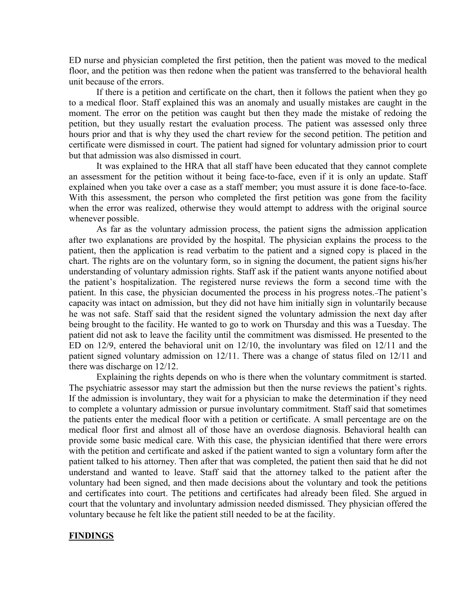ED nurse and physician completed the first petition, then the patient was moved to the medical floor, and the petition was then redone when the patient was transferred to the behavioral health unit because of the errors.

If there is a petition and certificate on the chart, then it follows the patient when they go to a medical floor. Staff explained this was an anomaly and usually mistakes are caught in the moment. The error on the petition was caught but then they made the mistake of redoing the petition, but they usually restart the evaluation process. The patient was assessed only three hours prior and that is why they used the chart review for the second petition. The petition and certificate were dismissed in court. The patient had signed for voluntary admission prior to court but that admission was also dismissed in court.

 It was explained to the HRA that all staff have been educated that they cannot complete an assessment for the petition without it being face-to-face, even if it is only an update. Staff explained when you take over a case as a staff member; you must assure it is done face-to-face. With this assessment, the person who completed the first petition was gone from the facility when the error was realized, otherwise they would attempt to address with the original source whenever possible.

As far as the voluntary admission process, the patient signs the admission application after two explanations are provided by the hospital. The physician explains the process to the patient, then the application is read verbatim to the patient and a signed copy is placed in the chart. The rights are on the voluntary form, so in signing the document, the patient signs his/her understanding of voluntary admission rights. Staff ask if the patient wants anyone notified about the patient's hospitalization. The registered nurse reviews the form a second time with the patient. In this case, the physician documented the process in his progress notes. The patient's capacity was intact on admission, but they did not have him initially sign in voluntarily because he was not safe. Staff said that the resident signed the voluntary admission the next day after being brought to the facility. He wanted to go to work on Thursday and this was a Tuesday. The patient did not ask to leave the facility until the commitment was dismissed. He presented to the ED on 12/9, entered the behavioral unit on 12/10, the involuntary was filed on 12/11 and the patient signed voluntary admission on 12/11. There was a change of status filed on 12/11 and there was discharge on 12/12.

 Explaining the rights depends on who is there when the voluntary commitment is started. The psychiatric assessor may start the admission but then the nurse reviews the patient's rights. If the admission is involuntary, they wait for a physician to make the determination if they need to complete a voluntary admission or pursue involuntary commitment. Staff said that sometimes the patients enter the medical floor with a petition or certificate. A small percentage are on the medical floor first and almost all of those have an overdose diagnosis. Behavioral health can provide some basic medical care. With this case, the physician identified that there were errors with the petition and certificate and asked if the patient wanted to sign a voluntary form after the patient talked to his attorney. Then after that was completed, the patient then said that he did not understand and wanted to leave. Staff said that the attorney talked to the patient after the voluntary had been signed, and then made decisions about the voluntary and took the petitions and certificates into court. The petitions and certificates had already been filed. She argued in court that the voluntary and involuntary admission needed dismissed. They physician offered the voluntary because he felt like the patient still needed to be at the facility.

### **FINDINGS**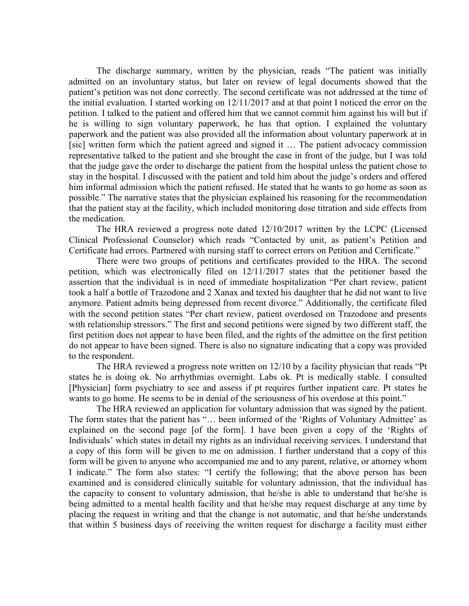The discharge summary, written by the physician, reads "The patient was initially admitted on an involuntary status, but later on review of legal documents showed that the patient's petition was not done correctly. The second certificate was not addressed at the time of the initial evaluation. I started working on 12/11/2017 and at that point I noticed the error on the petition. I talked to the patient and offered him that we cannot commit him against his will but if he is willing to sign voluntary paperwork, he has that option. I explained the voluntary paperwork and the patient was also provided all the information about voluntary paperwork at in [sic] written form which the patient agreed and signed it … The patient advocacy commission representative talked to the patient and she brought the case in front of the judge, but I was told that the judge gave the order to discharge the patient from the hospital unless the patient chose to stay in the hospital. I discussed with the patient and told him about the judge's orders and offered him informal admission which the patient refused. He stated that he wants to go home as soon as possible." The narrative states that the physician explained his reasoning for the recommendation that the patient stay at the facility, which included monitoring dose titration and side effects from the medication.

 The HRA reviewed a progress note dated 12/10/2017 written by the LCPC (Licensed Clinical Professional Counselor) which reads "Contacted by unit, as patient's Petition and Certificate had errors. Partnered with nursing staff to correct errors on Petition and Certificate."

 There were two groups of petitions and certificates provided to the HRA. The second petition, which was electronically filed on 12/11/2017 states that the petitioner based the assertion that the individual is in need of immediate hospitalization "Per chart review, patient took a half a bottle of Trazodone and 2 Xanax and texted his daughter that he did not want to live anymore. Patient admits being depressed from recent divorce." Additionally, the certificate filed with the second petition states "Per chart review, patient overdosed on Trazodone and presents with relationship stressors." The first and second petitions were signed by two different staff, the first petition does not appear to have been filed, and the rights of the admittee on the first petition do not appear to have been signed. There is also no signature indicating that a copy was provided to the respondent.

The HRA reviewed a progress note written on 12/10 by a facility physician that reads "Pt states he is doing ok. No arrhythmias overnight. Labs ok. Pt is medically stable. I consulted [Physician] form psychiatry to see and assess if pt requires further inpatient care. Pt states he wants to go home. He seems to be in denial of the seriousness of his overdose at this point."

 The HRA reviewed an application for voluntary admission that was signed by the patient. The form states that the patient has "… been informed of the 'Rights of Voluntary Admittee' as explained on the second page [of the form]. I have been given a copy of the 'Rights of Individuals' which states in detail my rights as an individual receiving services. I understand that a copy of this form will be given to me on admission. I further understand that a copy of this form will be given to anyone who accompanied me and to any parent, relative, or attorney whom I indicate." The form also states: "I certify the following; that the above person has been examined and is considered clinically suitable for voluntary admission, that the individual has the capacity to consent to voluntary admission, that he/she is able to understand that he/she is being admitted to a mental health facility and that he/she may request discharge at any time by placing the request in writing and that the change is not automatic, and that he/she understands that within 5 business days of receiving the written request for discharge a facility must either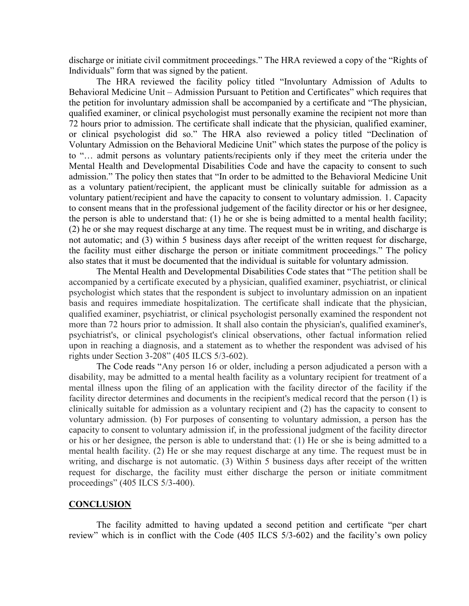discharge or initiate civil commitment proceedings." The HRA reviewed a copy of the "Rights of Individuals" form that was signed by the patient.

The HRA reviewed the facility policy titled "Involuntary Admission of Adults to Behavioral Medicine Unit – Admission Pursuant to Petition and Certificates" which requires that the petition for involuntary admission shall be accompanied by a certificate and "The physician, qualified examiner, or clinical psychologist must personally examine the recipient not more than 72 hours prior to admission. The certificate shall indicate that the physician, qualified examiner, or clinical psychologist did so." The HRA also reviewed a policy titled "Declination of Voluntary Admission on the Behavioral Medicine Unit" which states the purpose of the policy is to "… admit persons as voluntary patients/recipients only if they meet the criteria under the Mental Health and Developmental Disabilities Code and have the capacity to consent to such admission." The policy then states that "In order to be admitted to the Behavioral Medicine Unit as a voluntary patient/recipient, the applicant must be clinically suitable for admission as a voluntary patient/recipient and have the capacity to consent to voluntary admission. 1. Capacity to consent means that in the professional judgement of the facility director or his or her designee, the person is able to understand that: (1) he or she is being admitted to a mental health facility; (2) he or she may request discharge at any time. The request must be in writing, and discharge is not automatic; and (3) within 5 business days after receipt of the written request for discharge, the facility must either discharge the person or initiate commitment proceedings." The policy also states that it must be documented that the individual is suitable for voluntary admission.

 The Mental Health and Developmental Disabilities Code states that "The petition shall be accompanied by a certificate executed by a physician, qualified examiner, psychiatrist, or clinical psychologist which states that the respondent is subject to involuntary admission on an inpatient basis and requires immediate hospitalization. The certificate shall indicate that the physician, qualified examiner, psychiatrist, or clinical psychologist personally examined the respondent not more than 72 hours prior to admission. It shall also contain the physician's, qualified examiner's, psychiatrist's, or clinical psychologist's clinical observations, other factual information relied upon in reaching a diagnosis, and a statement as to whether the respondent was advised of his rights under Section 3-208" (405 ILCS 5/3-602).

The Code reads "Any person 16 or older, including a person adjudicated a person with a disability, may be admitted to a mental health facility as a voluntary recipient for treatment of a mental illness upon the filing of an application with the facility director of the facility if the facility director determines and documents in the recipient's medical record that the person (1) is clinically suitable for admission as a voluntary recipient and (2) has the capacity to consent to voluntary admission. (b) For purposes of consenting to voluntary admission, a person has the capacity to consent to voluntary admission if, in the professional judgment of the facility director or his or her designee, the person is able to understand that: (1) He or she is being admitted to a mental health facility. (2) He or she may request discharge at any time. The request must be in writing, and discharge is not automatic. (3) Within 5 business days after receipt of the written request for discharge, the facility must either discharge the person or initiate commitment proceedings" (405 ILCS 5/3-400).

#### **CONCLUSION**

The facility admitted to having updated a second petition and certificate "per chart review" which is in conflict with the Code (405 ILCS 5/3-602) and the facility's own policy